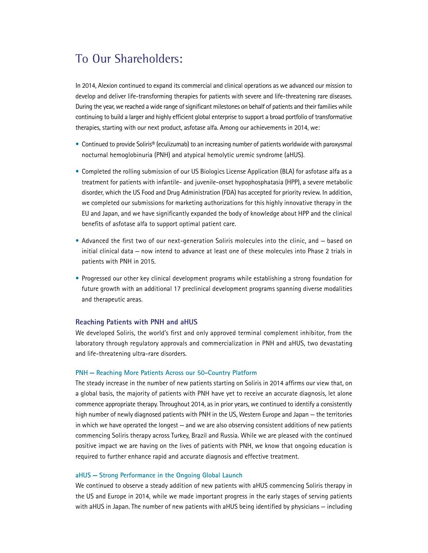# To Our Shareholders:

In 2014, Alexion continued to expand its commercial and clinical operations as we advanced our mission to develop and deliver life-transforming therapies for patients with severe and life-threatening rare diseases. During the year, we reached a wide range of significant milestones on behalf of patients and their families while continuing to build a larger and highly efficient global enterprise to support a broad portfolio of transformative therapies, starting with our next product, asfotase alfa. Among our achievements in 2014, we:

- Continued to provide Soliris® (eculizumab) to an increasing number of patients worldwide with paroxysmal nocturnal hemoglobinuria (PNH) and atypical hemolytic uremic syndrome (aHUS).
- Completed the rolling submission of our US Biologics License Application (BLA) for asfotase alfa as a treatment for patients with infantile- and juvenile-onset hypophosphatasia (HPP), a severe metabolic disorder, which the US Food and Drug Administration (FDA) has accepted for priority review. In addition, we completed our submissions for marketing authorizations for this highly innovative therapy in the EU and Japan, and we have significantly expanded the body of knowledge about HPP and the clinical benefits of asfotase alfa to support optimal patient care.
- Advanced the first two of our next-generation Soliris molecules into the clinic, and based on initial clinical data — now intend to advance at least one of these molecules into Phase 2 trials in patients with PNH in 2015.
- Progressed our other key clinical development programs while establishing a strong foundation for future growth with an additional 17 preclinical development programs spanning diverse modalities and therapeutic areas.

# **Reaching Patients with PNH and aHUS**

We developed Soliris, the world's first and only approved terminal complement inhibitor, from the laboratory through regulatory approvals and commercialization in PNH and aHUS, two devastating and life-threatening ultra-rare disorders.

# **PNH — Reaching More Patients Across our 50-Country Platform**

The steady increase in the number of new patients starting on Soliris in 2014 affirms our view that, on a global basis, the majority of patients with PNH have yet to receive an accurate diagnosis, let alone commence appropriate therapy. Throughout 2014, as in prior years, we continued to identify a consistently high number of newly diagnosed patients with PNH in the US, Western Europe and Japan — the territories in which we have operated the longest — and we are also observing consistent additions of new patients commencing Soliris therapy across Turkey, Brazil and Russia. While we are pleased with the continued positive impact we are having on the lives of patients with PNH, we know that ongoing education is required to further enhance rapid and accurate diagnosis and effective treatment.

# **aHUS — Strong Performance in the Ongoing Global Launch**

We continued to observe a steady addition of new patients with aHUS commencing Soliris therapy in the US and Europe in 2014, while we made important progress in the early stages of serving patients with aHUS in Japan. The number of new patients with aHUS being identified by physicians — including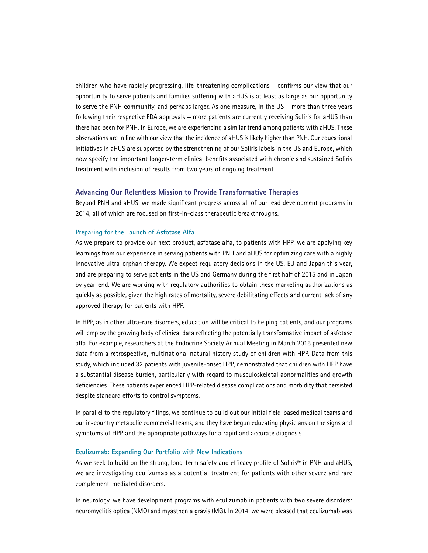children who have rapidly progressing, life-threatening complications — confirms our view that our opportunity to serve patients and families suffering with aHUS is at least as large as our opportunity to serve the PNH community, and perhaps larger. As one measure, in the US — more than three years following their respective FDA approvals — more patients are currently receiving Soliris for aHUS than there had been for PNH. In Europe, we are experiencing a similar trend among patients with aHUS. These observations are in line with our view that the incidence of aHUS is likely higher than PNH. Our educational initiatives in aHUS are supported by the strengthening of our Soliris labels in the US and Europe, which now specify the important longer-term clinical benefits associated with chronic and sustained Soliris treatment with inclusion of results from two years of ongoing treatment.

## **Advancing Our Relentless Mission to Provide Transformative Therapies**

Beyond PNH and aHUS, we made significant progress across all of our lead development programs in 2014, all of which are focused on first-in-class therapeutic breakthroughs.

### **Preparing for the Launch of Asfotase Alfa**

As we prepare to provide our next product, asfotase alfa, to patients with HPP, we are applying key learnings from our experience in serving patients with PNH and aHUS for optimizing care with a highly innovative ultra-orphan therapy. We expect regulatory decisions in the US, EU and Japan this year, and are preparing to serve patients in the US and Germany during the first half of 2015 and in Japan by year-end. We are working with regulatory authorities to obtain these marketing authorizations as quickly as possible, given the high rates of mortality, severe debilitating effects and current lack of any approved therapy for patients with HPP.

In HPP, as in other ultra-rare disorders, education will be critical to helping patients, and our programs will employ the growing body of clinical data reflecting the potentially transformative impact of asfotase alfa. For example, researchers at the Endocrine Society Annual Meeting in March 2015 presented new data from a retrospective, multinational natural history study of children with HPP. Data from this study, which included 32 patients with juvenile-onset HPP, demonstrated that children with HPP have a substantial disease burden, particularly with regard to musculoskeletal abnormalities and growth deficiencies. These patients experienced HPP-related disease complications and morbidity that persisted despite standard efforts to control symptoms.

In parallel to the regulatory filings, we continue to build out our initial field-based medical teams and our in-country metabolic commercial teams, and they have begun educating physicians on the signs and symptoms of HPP and the appropriate pathways for a rapid and accurate diagnosis.

#### **Eculizumab: Expanding Our Portfolio with New Indications**

As we seek to build on the strong, long-term safety and efficacy profile of Soliris® in PNH and aHUS, we are investigating eculizumab as a potential treatment for patients with other severe and rare complement-mediated disorders.

In neurology, we have development programs with eculizumab in patients with two severe disorders: neuromyelitis optica (NMO) and myasthenia gravis (MG). In 2014, we were pleased that eculizumab was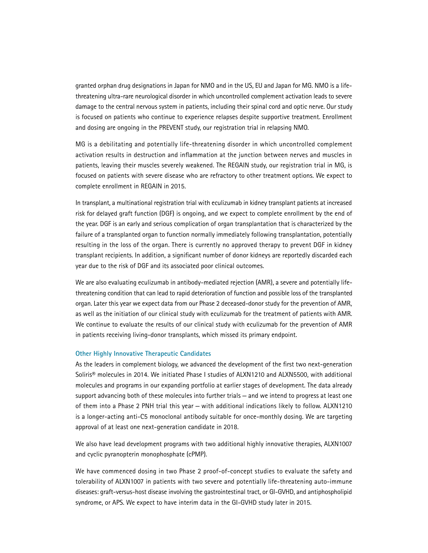granted orphan drug designations in Japan for NMO and in the US, EU and Japan for MG. NMO is a lifethreatening ultra-rare neurological disorder in which uncontrolled complement activation leads to severe damage to the central nervous system in patients, including their spinal cord and optic nerve. Our study is focused on patients who continue to experience relapses despite supportive treatment. Enrollment and dosing are ongoing in the PREVENT study, our registration trial in relapsing NMO.

MG is a debilitating and potentially life-threatening disorder in which uncontrolled complement activation results in destruction and inflammation at the junction between nerves and muscles in patients, leaving their muscles severely weakened. The REGAIN study, our registration trial in MG, is focused on patients with severe disease who are refractory to other treatment options. We expect to complete enrollment in REGAIN in 2015.

In transplant, a multinational registration trial with eculizumab in kidney transplant patients at increased risk for delayed graft function (DGF) is ongoing, and we expect to complete enrollment by the end of the year. DGF is an early and serious complication of organ transplantation that is characterized by the failure of a transplanted organ to function normally immediately following transplantation, potentially resulting in the loss of the organ. There is currently no approved therapy to prevent DGF in kidney transplant recipients. In addition, a significant number of donor kidneys are reportedly discarded each year due to the risk of DGF and its associated poor clinical outcomes.

We are also evaluating eculizumab in antibody-mediated rejection (AMR), a severe and potentially lifethreatening condition that can lead to rapid deterioration of function and possible loss of the transplanted organ. Later this year we expect data from our Phase 2 deceased-donor study for the prevention of AMR, as well as the initiation of our clinical study with eculizumab for the treatment of patients with AMR. We continue to evaluate the results of our clinical study with eculizumab for the prevention of AMR in patients receiving living-donor transplants, which missed its primary endpoint.

#### **Other Highly Innovative Therapeutic Candidates**

As the leaders in complement biology, we advanced the development of the first two next-generation Soliris® molecules in 2014. We initiated Phase I studies of ALXN1210 and ALXN5500, with additional molecules and programs in our expanding portfolio at earlier stages of development. The data already support advancing both of these molecules into further trials — and we intend to progress at least one of them into a Phase 2 PNH trial this year — with additional indications likely to follow. ALXN1210 is a longer-acting anti-C5 monoclonal antibody suitable for once-monthly dosing. We are targeting approval of at least one next-generation candidate in 2018.

We also have lead development programs with two additional highly innovative therapies, ALXN1007 and cyclic pyranopterin monophosphate (cPMP).

We have commenced dosing in two Phase 2 proof-of-concept studies to evaluate the safety and tolerability of ALXN1007 in patients with two severe and potentially life-threatening auto-immune diseases: graft-versus-host disease involving the gastrointestinal tract, or GI-GVHD, and antiphospholipid syndrome, or APS. We expect to have interim data in the GI-GVHD study later in 2015.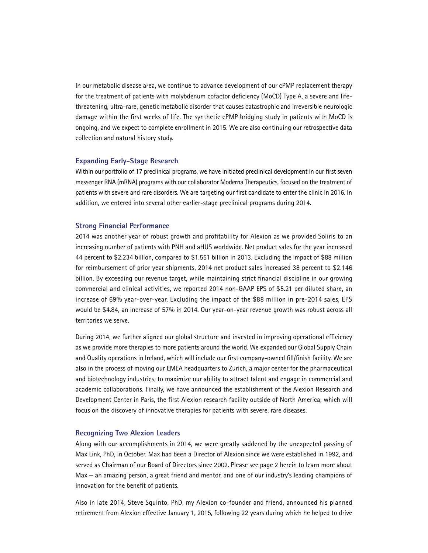In our metabolic disease area, we continue to advance development of our cPMP replacement therapy for the treatment of patients with molybdenum cofactor deficiency (MoCD) Type A, a severe and lifethreatening, ultra-rare, genetic metabolic disorder that causes catastrophic and irreversible neurologic damage within the first weeks of life. The synthetic cPMP bridging study in patients with MoCD is ongoing, and we expect to complete enrollment in 2015. We are also continuing our retrospective data collection and natural history study.

# **Expanding Early-Stage Research**

Within our portfolio of 17 preclinical programs, we have initiated preclinical development in our first seven messenger RNA (mRNA) programs with our collaborator Moderna Therapeutics, focused on the treatment of patients with severe and rare disorders. We are targeting our first candidate to enter the clinic in 2016. In addition, we entered into several other earlier-stage preclinical programs during 2014.

# **Strong Financial Performance**

2014 was another year of robust growth and profitability for Alexion as we provided Soliris to an increasing number of patients with PNH and aHUS worldwide. Net product sales for the year increased 44 percent to \$2.234 billion, compared to \$1.551 billion in 2013. Excluding the impact of \$88 million for reimbursement of prior year shipments, 2014 net product sales increased 38 percent to \$2.146 billion. By exceeding our revenue target, while maintaining strict financial discipline in our growing commercial and clinical activities, we reported 2014 non-GAAP EPS of \$5.21 per diluted share, an increase of 69% year-over-year. Excluding the impact of the \$88 million in pre-2014 sales, EPS would be \$4.84, an increase of 57% in 2014. Our year-on-year revenue growth was robust across all territories we serve.

During 2014, we further aligned our global structure and invested in improving operational efficiency as we provide more therapies to more patients around the world. We expanded our Global Supply Chain and Quality operations in Ireland, which will include our first company-owned fill/finish facility. We are also in the process of moving our EMEA headquarters to Zurich, a major center for the pharmaceutical and biotechnology industries, to maximize our ability to attract talent and engage in commercial and academic collaborations. Finally, we have announced the establishment of the Alexion Research and Development Center in Paris, the first Alexion research facility outside of North America, which will focus on the discovery of innovative therapies for patients with severe, rare diseases.

# **Recognizing Two Alexion Leaders**

Along with our accomplishments in 2014, we were greatly saddened by the unexpected passing of Max Link, PhD, in October. Max had been a Director of Alexion since we were established in 1992, and served as Chairman of our Board of Directors since 2002. Please see page 2 herein to learn more about Max — an amazing person, a great friend and mentor, and one of our industry's leading champions of innovation for the benefit of patients.

Also in late 2014, Steve Squinto, PhD, my Alexion co-founder and friend, announced his planned retirement from Alexion effective January 1, 2015, following 22 years during which he helped to drive